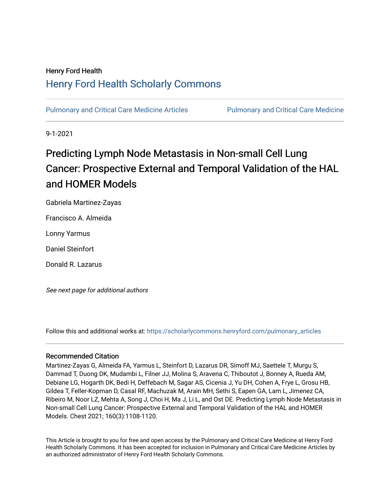## Henry Ford Health [Henry Ford Health Scholarly Commons](https://scholarlycommons.henryford.com/)

[Pulmonary and Critical Care Medicine Articles](https://scholarlycommons.henryford.com/pulmonary_articles) **Pulmonary and Critical Care Medicine** 

9-1-2021

# Predicting Lymph Node Metastasis in Non-small Cell Lung Cancer: Prospective External and Temporal Validation of the HAL and HOMER Models

Gabriela Martinez-Zayas

Francisco A. Almeida

Lonny Yarmus

Daniel Steinfort

Donald R. Lazarus

See next page for additional authors

Follow this and additional works at: [https://scholarlycommons.henryford.com/pulmonary\\_articles](https://scholarlycommons.henryford.com/pulmonary_articles?utm_source=scholarlycommons.henryford.com%2Fpulmonary_articles%2F130&utm_medium=PDF&utm_campaign=PDFCoverPages)

## Recommended Citation

Martinez-Zayas G, Almeida FA, Yarmus L, Steinfort D, Lazarus DR, Simoff MJ, Saettele T, Murgu S, Dammad T, Duong DK, Mudambi L, Filner JJ, Molina S, Aravena C, Thiboutot J, Bonney A, Rueda AM, Debiane LG, Hogarth DK, Bedi H, Deffebach M, Sagar AS, Cicenia J, Yu DH, Cohen A, Frye L, Grosu HB, Gildea T, Feller-Kopman D, Casal RF, Machuzak M, Arain MH, Sethi S, Eapen GA, Lam L, Jimenez CA, Ribeiro M, Noor LZ, Mehta A, Song J, Choi H, Ma J, Li L, and Ost DE. Predicting Lymph Node Metastasis in Non-small Cell Lung Cancer: Prospective External and Temporal Validation of the HAL and HOMER Models. Chest 2021; 160(3):1108-1120.

This Article is brought to you for free and open access by the Pulmonary and Critical Care Medicine at Henry Ford Health Scholarly Commons. It has been accepted for inclusion in Pulmonary and Critical Care Medicine Articles by an authorized administrator of Henry Ford Health Scholarly Commons.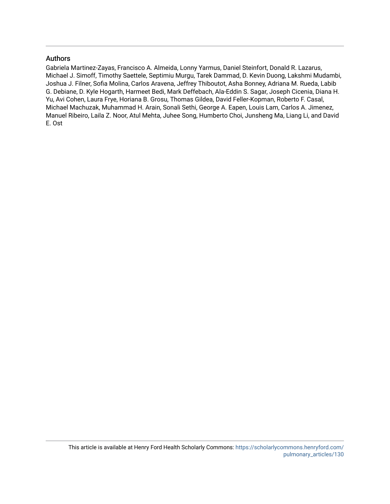## Authors

Gabriela Martinez-Zayas, Francisco A. Almeida, Lonny Yarmus, Daniel Steinfort, Donald R. Lazarus, Michael J. Simoff, Timothy Saettele, Septimiu Murgu, Tarek Dammad, D. Kevin Duong, Lakshmi Mudambi, Joshua J. Filner, Sofia Molina, Carlos Aravena, Jeffrey Thiboutot, Asha Bonney, Adriana M. Rueda, Labib G. Debiane, D. Kyle Hogarth, Harmeet Bedi, Mark Deffebach, Ala-Eddin S. Sagar, Joseph Cicenia, Diana H. Yu, Avi Cohen, Laura Frye, Horiana B. Grosu, Thomas Gildea, David Feller-Kopman, Roberto F. Casal, Michael Machuzak, Muhammad H. Arain, Sonali Sethi, George A. Eapen, Louis Lam, Carlos A. Jimenez, Manuel Ribeiro, Laila Z. Noor, Atul Mehta, Juhee Song, Humberto Choi, Junsheng Ma, Liang Li, and David E. Ost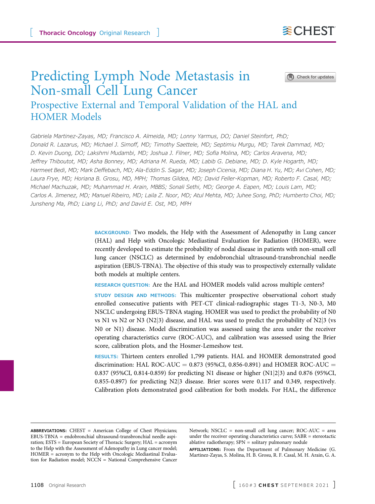## Predicting Lymph Node Metastasis in Non-small Cell Lung Cancer

Check for updates

## Prospective External and Temporal Validation of the HAL and HOMER Models

Gabriela Martinez-Zayas, MD; Francisco A. Almeida, MD; Lonny Yarmus, DO; Daniel Steinfort, PhD; Donald R. Lazarus, MD; Michael J. Simoff, MD; Timothy Saettele, MD; Septimiu Murgu, MD; Tarek Dammad, MD; D. Kevin Duong, DO; Lakshmi Mudambi, MD; Joshua J. Filner, MD; Sofia Molina, MD; Carlos Aravena, MD; Jeffrey Thiboutot, MD; Asha Bonney, MD; Adriana M. Rueda, MD; Labib G. Debiane, MD; D. Kyle Hogarth, MD; Harmeet Bedi, MD; Mark Deffebach, MD; Ala-Eddin S. Sagar, MD; Joseph Cicenia, MD; Diana H. Yu, MD; Avi Cohen, MD; Laura Frye, MD; Horiana B. Grosu, MD, MPH; Thomas Gildea, MD; David Feller-Kopman, MD; Roberto F. Casal, MD; Michael Machuzak, MD; Muhammad H. Arain, MBBS; Sonali Sethi, MD; George A. Eapen, MD; Louis Lam, MD; Carlos A. Jimenez, MD; Manuel Ribeiro, MD; Laila Z. Noor, MD; Atul Mehta, MD; Juhee Song, PhD; Humberto Choi, MD; Junsheng Ma, PhD; Liang Li, PhD; and David E. Ost, MD, MPH

> BACKGROUND: Two models, the Help with the Assessment of Adenopathy in Lung cancer (HAL) and Help with Oncologic Mediastinal Evaluation for Radiation (HOMER), were recently developed to estimate the probability of nodal disease in patients with non-small cell lung cancer (NSCLC) as determined by endobronchial ultrasound-transbronchial needle aspiration (EBUS-TBNA). The objective of this study was to prospectively externally validate both models at multiple centers.

RESEARCH QUESTION: Are the HAL and HOMER models valid across multiple centers?

STUDY DESIGN AND METHODS: This multicenter prospective observational cohort study enrolled consecutive patients with PET-CT clinical-radiographic stages T1-3, N0-3, M0 NSCLC undergoing EBUS-TBNA staging. HOMER was used to predict the probability of N0 vs N1 vs N2 or N3 (N2|3) disease, and HAL was used to predict the probability of N2|3 (vs N0 or N1) disease. Model discrimination was assessed using the area under the receiver operating characteristics curve (ROC-AUC), and calibration was assessed using the Brier score, calibration plots, and the Hosmer-Lemeshow test.

RESULTS: Thirteen centers enrolled 1,799 patients. HAL and HOMER demonstrated good discrimination: HAL ROC-AUC =  $0.873$  (95%CI, 0.856-0.891) and HOMER ROC-AUC = 0.837 (95%CI, 0.814-0.859) for predicting N1 disease or higher  $(N1|2|3)$  and 0.876 (95%CI, 0.855-0.897) for predicting N2[j](#page-14-0)3 disease. Brier scores were 0.117 and 0.349, respectively. Calibration plots demonstrated good calibration for both models. For HAL, the difference

ABBREVIATIONS: CHEST = American College of Chest Physicians; EBUS-TBNA = endobronchial ultrasound-transbronchial needle aspiration; ESTS = European Society of Thoracic Surgery; HAL = acronym to the Help with the Assessment of Adenopathy in Lung cancer model; HOMER = acronym to the Help with Oncologic Mediastinal Evaluation for Radiation model; NCCN = National Comprehensive Cancer

Network; NSCLC = non-small cell lung cancer; ROC-AUC = area under the receiver operating characteristics curve; SABR = stereotactic ablative radiotherapy; SPN = solitary pulmonary nodule

AFFILIATIONS: From the Department of Pulmonary Medicine (G. Martinez-Zayas, S. Molina, H. B. Grosu, R. F. Casal, M. H. Arain, G. A.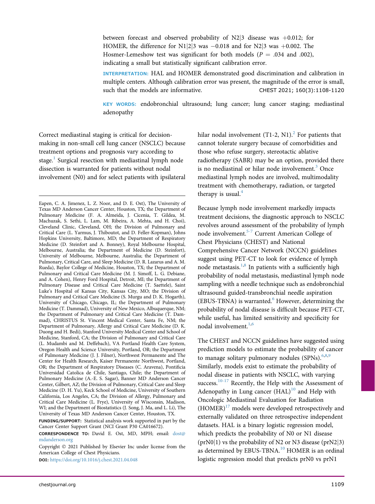between forecast and observed probability of  $N2$ ]3 disease was  $+0.012$ ; for HOMER, the difference for N1|2|3 was  $-0.018$  and for N2|3 was  $+0.002$ . The Hosmer-Lemeshow test was significant for both models ( $P = .034$  and .002), indicating a small but statistically significant calibration error.

INTERPRETATION: HAL and HOMER demonstrated good discrimination and calibration in multiple centers. Although calibration error was present, the magnitude of the error is small, such that the models are informative. CHEST 2021; 160(3):1108-1120

KEY WORDS: endobronchial ultrasound; lung cancer; lung cancer staging; mediastinal adenopathy

Correct mediastinal staging is critical for decisionmaking in non-small cell lung cancer (NSCLC) because treatment options and prognosis vary according to stage.<sup>[1](#page-13-0)</sup> Surgical resection with mediastinal lymph node dissection is warranted for patients without nodal involvement (N0) and for select patients with ipsilateral

DOI: <https://doi.org/10.1016/j.chest.2021.04.048>

hilar nodal involvement  $(T1-2, N1)<sup>2</sup>$  $(T1-2, N1)<sup>2</sup>$  $(T1-2, N1)<sup>2</sup>$  For patients that cannot tolerate surgery because of comorbidities and those who refuse surgery, stereotactic ablative radiotherapy (SABR) may be an option, provided there is no mediastinal or hilar node involvement. $3$  Once mediastinal lymph nodes are involved, multimodality treatment with chemotherapy, radiation, or targeted therapy is usual. $4$ 

Because lymph node involvement markedly impacts treatment decisions, the diagnostic approach to NSCLC revolves around assessment of the probability of lymph node involvement.[5-7](#page-13-4) Current American College of Chest Physicians (CHEST) and National Comprehensive Cancer Network (NCCN) guidelines suggest using PET-CT to look for evidence of lymph node metastasis.<sup>[1](#page-13-0),[8](#page-13-5)</sup> In patients with a sufficiently high probability of nodal metastasis, mediastinal lymph node sampling with a needle technique such as endobronchial ultrasound guided-transbronchial needle aspiration (EBUS-TBNA) is warranted. $<sup>6</sup>$  $<sup>6</sup>$  $<sup>6</sup>$  However, determining the</sup> probability of nodal disease is difficult because PET-CT, while useful, has limited sensitivity and specificity for nodal involvement. $1,6$  $1,6$ 

<span id="page-3-0"></span>The CHEST and NCCN guidelines have suggested using prediction models to estimate the probability of cancer to manage solitary pulmonary nodules  $(SPNs)$ .<sup>[6,](#page-13-6)[8,](#page-13-5)[9](#page-13-7)</sup> Similarly, models exist to estimate the probability of nodal disease in patients with NSCLC, with varying success. $10-17$  Recently, the Help with the Assessment of Adenopathy in Lung cancer  $(HAL)^{10}$  $(HAL)^{10}$  $(HAL)^{10}$  and Help with Oncologic Mediastinal Evaluation for Radiation  $(HOMER)^{17}$  models were developed retrospectively and externally validated on three retrospective independent datasets. HAL is a binary logistic regression model, which predicts the probability of N0 or N1 disease  $(prN0|1)$  vs the probability of N2 or N3 disease (prN2|3) as determined by EBUS-TBNA.<sup>[10](#page-13-8)</sup> HOMER is an ordinal logistic regression model that predicts prN0 vs prN1

Eapen, C. A. Jimenez, L. Z. Noor, and D. E. Ost), The University of Texas MD Anderson Cancer Center, Houston, TX; the Department of Pulmonary Medicine (F. A. Almeida, J. Cicenia, T. Gildea, M. Machuzak, S. Sethi, L. Lam, M. Ribeira, A. Mehta, and H. Choi), Cleveland Clinic, Cleveland, OH; the Division of Pulmonary and Critical Care (L. Yarmus, J. Thiboutot, and D. Feller-Kopman), Johns Hopkins University, Baltimore, MD; the Department of Respiratory Medicine (D. Steinfort and A. Bonney), Royal Melbourne Hospital, Melbourne, Australia; the Department of Medicine (D. Steinfort), University of Melbourne, Melbourne, Australia; the Department of Pulmonary, Critical Care, and Sleep Medicine (D. R. Lazarus and A. M. Rueda), Baylor College of Medicine, Houston, TX; the Department of Pulmonary and Critical Care Medicine (M. J. Simoff, L. G. Debiane, and A. Cohen), Henry Ford Hospital, Detroit, MI; the Department of Pulmonary Disease and Critical Care Medicine (T. Saettele), Saint Luke's Hospital of Kansas City, Kansas City, MO; the Division of Pulmonary and Critical Care Medicine (S. Murgu and D. K. Hogarth), University of Chicago, Chicago, IL; the Department of Pulmonary Medicine (T. Dammad), University of New Mexico, Albuquerque, NM; the Department of Pulmonary and Critical Care Medicine (T. Dammad), CHRISTUS St. Vincent Medical Center, Santa Fe, NM; the Department of Pulmonary, Allergy and Critical Care Medicine (D. K. Duong and H. Bedi), Stanford University Medical Center and School of Medicine, Stanford, CA; the Division of Pulmonary and Critical Care (L. Mudambi and M. Deffebach), VA Portland Health Care System, Oregon Health and Science University, Portland, OR; the Department of Pulmonary Medicine (J. J. Filner), Northwest Permanente and The Center for Health Research, Kaiser Permanente Northwest, Portland, OR; the Department of Respiratory Diseases (C. Aravena), Pontificia Universidad Catolica de Chile, Santiago, Chile; the Department of Pulmonary Medicine (A.-E. S. Sagar), Banner MD Anderson Cancer Center, Gilbert, AZ; the Division of Pulmonary, Critical Care and Sleep Medicine (D. H. Yu), Keck School of Medicine, University of Southern California, Los Angeles, CA; the Division of Allergy, Pulmonary and Critical Care Medicine (L. Frye), University of Wisconsin, Madison, WI; and the Department of Biostatistics (J. Song, J. Ma, and L. Li), The University of Texas MD Anderson Cancer Center, Houston, TX.

FUNDING/SUPPORT: Statistical analysis work supported in part by the Cancer Center Support Grant (NCI Grant P30 CA016672).

CORRESPONDENCE TO: David E. Ost, MD, MPH; email: [dost@](mailto:dost@mdanderson.org) [mdanderson.org](mailto:dost@mdanderson.org)

Copyright  $@$  2021 Published by Elsevier Inc under license from the American College of Chest Physicians.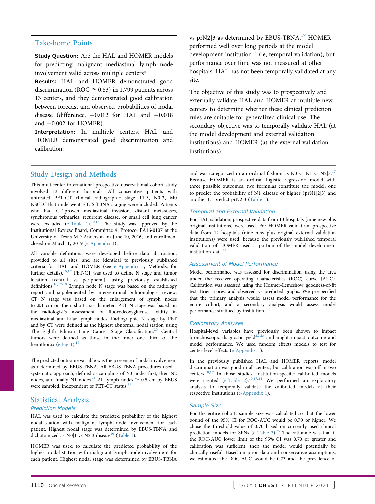### Take-home Points

Study Question: Are the HAL and HOMER models for predicting malignant mediastinal lymph node involvement valid across multiple centers?

Results: HAL and HOMER demonstrated good discrimination (ROC  $\geq$  0.83) in 1,799 patients across 13 centers, and they demonstrated good calibration between forecast and observed probabilities of nodal disease (difference,  $+0.012$  for HAL and  $-0.018$ and  $+0.002$  for HOMER).

Interpretation: In multiple centers, HAL and HOMER demonstrated good discrimination and calibration.

vs prN2|3 as determined by EBUS-TBNA.<sup>[17](#page-14-0)</sup> HOMER performed well over long periods at the model development institution<sup>[17](#page-14-0)</sup> (ie, temporal validation), but performance over time was not measured at other hospitals. HAL has not been temporally validated at any site.

The objective of this study was to prospectively and externally validate HAL and HOMER at multiple new centers to determine whether these clinical prediction rules are suitable for generalized clinical use. The secondary objective was to temporally validate HAL (at the model development and external validation institutions) and HOMER (at the external validation institutions).

## Study Design and Methods

This multicenter international prospective observational cohort study involved 13 different hospitals. All consecutive patients with untreated PET-CT clinical radiographic stage T1-3, N0-3, M0 NSCLC that underwent EBUS-TBNA staging were included. Patients who had CT-proven mediastinal invasion, distant metastases, synchronous primaries, recurrent disease, or small cell lung cancer were excluded  $(e$ -Table 1).<sup>[10,](#page-13-8)[17](#page-14-0)</sup> The study was approved by the Institutional Review Board, Committee 4, Protocol PA16-0107 at the University of Texas MD Anderson on June 10, 2016, and enrollment closed on March 1, 2019 [\(e-Appendix 1](#page-3-0)).

All variable definitions were developed before data abstraction, provided to all sites, and are identical to previously published criteria for HAL and HOMER (see [e-Appendix 1](#page-3-0), Methods, for further details).<sup>10[,17](#page-14-0)</sup> PET-CT was used to define N stage and tumor location (central vs peripheral), using previously established definitions.<sup>[10](#page-13-8)[,17-19](#page-14-0)</sup> Lymph node N stage was based on the radiology report and supplemented by interventional pulmonologist review. CT N stage was based on the enlargement of lymph nodes to  $\geq$ 1 cm on their short-axis diameter. PET N stage was based on the radiologist's assessment of fluorodeoxyglucose avidity in mediastinal and hilar lymph nodes. Radiographic N stage by PET and by CT were defined as the highest abnormal nodal station using The Eighth Edition Lung Cancer Stage Classification.<sup>[20](#page-14-1)</sup> Central tumors were defined as those in the inner one third of the hemithorax [\(e-Fig 1\)](#page-3-0). $^{19}$  $^{19}$  $^{19}$ 

The predicted outcome variable was the presence of nodal involvement as determined by EBUS-TBNA. All EBUS-TBNA procedures used a systematic approach, defined as sampling of N3 nodes first, then N2 nodes, and finally N1 nodes.<sup>21</sup> All lymph nodes  $\geq$  0.5 cm by EBUS were sampled, independent of PET-CT status.<sup>[21](#page-14-3)</sup>

#### Statistical Analysis

#### Prediction Models

HAL was used to calculate the predicted probability of the highest nodal station with malignant lymph node involvement for each patient. Highest nodal stage was determined by EBUS-TBNA and dichotomized as N0|1 vs N2|3 disease<sup>[10](#page-13-8)</sup> ([Table 1\)](#page-5-0).

HOMER was used to calculate the predicted probability of the highest nodal station with malignant lymph node involvement for each patient. Highest nodal stage was determined by EBUS-TBNA and was categorized in an ordinal fashion as N0 vs N1 vs  $N2|3$ .<sup>[17](#page-14-0)</sup> Because HOMER is an ordinal logistic regression model with three possible outcomes, two formulas constitute the model, one to predict the probability of N1 disease or higher (prN1|2|3) and another to predict prN2|3 [\(Table 1](#page-5-0)).

#### Temporal and External Validation

For HAL validation, prospective data from 13 hospitals (nine new plus original institutions) were used. For HOMER validation, prospective data from 12 hospitals (nine new plus original external validation institutions) were used, because the previously published temporal validation of HOMER used a portion of the model development institution data.<sup>17</sup>

#### Assessment of Model Performance

Model performance was assessed for discrimination using the area under the receiver operating characteristics (ROC) curve (AUC). Calibration was assessed using the Hosmer-Lemeshow goodness-of-fit test, Brier scores, and observed vs predicted graphs. We prespecified that the primary analysis would assess model performance for the entire cohort, and a secondary analysis would assess model performance stratified by institution.

#### Exploratory Analyses

Hospital-level variables have previously been shown to impact bronchoscopic diagnostic yield<sup>[22](#page-14-4),[23](#page-14-5)</sup> and might impact outcome and model performance. We used random effects models to test for center-level effects ([e-Appendix 1\)](#page-3-0).

In the previously published HAL and HOMER reports, model discrimination was good in all centers, but calibration was off in two centers.<sup>[10](#page-13-8),[17](#page-14-0)</sup> In those studies, institution-specific calibrated models were created  $(e$ -Table 2).<sup>[10,](#page-13-8)[17,](#page-14-0)[24](#page-14-6)</sup> We performed an exploratory analysis to temporally validate the calibrated models at their respective institutions ([e-Appendix 1\)](#page-3-0).

#### Sample Size

For the entire cohort, sample size was calculated so that the lower bound of the 95% CI for ROC-AUC would be 0.70 or higher. We chose the threshold value of 0.70 based on currently used clinical prediction models for SPNs [\(e-Table 3](#page-3-0)).<sup>[25](#page-14-7)</sup> The rationale was that if the ROC-AUC lower limit of the 95% CI was 0.70 or greater and calibration was sufficient, then the model would potentially be clinically useful. Based on prior data and conservative assumptions, we estimated the ROC-AUC would be 0.73 and the prevalence of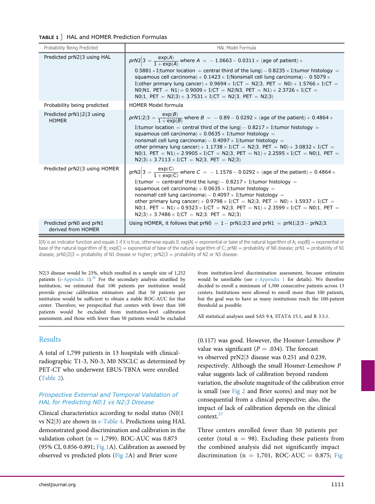<span id="page-5-0"></span>

| TABLE 1 ] HAL and HOMER Prediction Formulas |  |
|---------------------------------------------|--|
|                                             |  |

| Probability Being Predicted                   | HAL Model Formula                                                                                                                                                                                                                                                                                                                                                                                                                                                                                                                                                                  |
|-----------------------------------------------|------------------------------------------------------------------------------------------------------------------------------------------------------------------------------------------------------------------------------------------------------------------------------------------------------------------------------------------------------------------------------------------------------------------------------------------------------------------------------------------------------------------------------------------------------------------------------------|
| Predicted prN213 using HAL                    | $prN2/3 = \frac{\exp(A)}{1 + \exp(A)}$ where $A = -1.0663 - 0.0311 \times (age of patient) +$<br>$0.5881 * I$ (tumor location = central third of the lung) - 0.8235 x I(tumor histology =<br>squamous cell carcinoma) + $0.1423 \times$ I(Nonsmall cell lung carcinoma) - $0.5079 \times$<br>I(other primary lung cancer) + $0.9694 \times I$ (CT = N2 3, PET = N0) + $1.5766 \times I$ (CT =<br>NO N1, PET = N1) + 0.9009 × I(CT = N2 N3, PET = N1) + 2.3726 × I(CT =<br>NO 1, PET = N2 3) + 3.7531 $\times$ I(CT = N2 3, PET = N2 3)                                             |
| Probability being predicted                   | <b>HOMER Model formula</b>                                                                                                                                                                                                                                                                                                                                                                                                                                                                                                                                                         |
| Predicted prN1 2 3 using<br><b>HOMER</b>      | $prN1 2 3 = \frac{exp(B)}{1 + exp(B)}$ where $B = -0.89 - 0.0292 \times$ (age of the patient) + 0.4864 $\times$<br>I(tumor location = central third of the lung) – $0.8217 \times$ I(tumor histology =<br>squamous cell carcinoma) + $0.0635 \times$ I(tumor histology =<br>nonsmall cell lung carcinoma) - $0.4097 \times$ I(tumor histology =<br>other primary lung cancer) + $1.1738 \times I$ (CT = N2 3, PET = N0) + $3.0832 \times I$ (CT =<br>NO 1, PET = N1) + 2.9905 × I(CT = N2 3, PET = N1) + 2.2595 × I(CT = N0 1, PET =<br>$N2 3$ + 3.7113 × I(CT = N2 3, PET = N2 3) |
| Predicted prN2 3 using HOMER                  | $prN2\Big 3 = \frac{exp(C)}{1 + exp(C)}$ where $C = -1.1576 - 0.0292 \times (age of the patient) + 0.4864 \times$<br>I(tumor = centralof third the lung) – $0.8217 \times$ I(tumor histology =<br>squamous cell carcinoma) + $0.0635 \times$ I(tumor histology =<br>nonsmall cell lung carcinoma) - $0.4097 \times$ I(tumor histology =<br>other primary lung cancer) + $0.9798 \times I$ (CT = N2 3, PET = N0) + 1.5937 $\times$ I(CT =<br>NO 1, PET = N1) + 0.9323 × I(CT = N2 3, PET = N1) + 2.3599 × I(CT = N0 1, PET =<br>$N2 3$ + 3.7486 × I(CT = N2 3, PET = N2 3)          |
| Predicted prN0 and prN1<br>derived from HOMER | Using HOMER, it follows that $prN0 = 1 - prN1/2/3$ and $prN1 = prN1/2/3 - prN2/3$ .                                                                                                                                                                                                                                                                                                                                                                                                                                                                                                |

 $I(X)$  is an indicator function and equals 1 if X is true, otherwise equals 0.  $\exp(A) =$  exponential or base of the natural logarithm of A;  $\exp(B) =$  exponential or base of the natural logarithm of B;  $\exp(C) =$  exponential of base of the natural logarithm of C;  $\text{prN0} =$  probability of N0 disease;  $\text{prN1} =$  probability of N1 disease; prN1|2|3 = probability of N1 disease or higher; prN2|3 = probability of N2 or N3 disease.

N2|3 disease would be 23%, which resulted in a sample size of 1,252 patients ([e-Appendix 1\)](#page-3-0). $^{26}$  $^{26}$  $^{26}$  For the secondary analysis stratified by institution, we estimated that 100 patients per institution would provide precise calibration estimators and that 50 patients per institution would be sufficient to obtain a stable ROC-AUC for that center. Therefore, we prespecified that centers with fewer than 100 patients would be excluded from institution-level calibration assessment, and those with fewer than 50 patients would be excluded

## Results

A total of 1,799 patients in 13 hospitals with clinicalradiographic T1-3, N0-3, M0 NSCLC as determined by PET-CT who underwent EBUS-TBNA were enrolled [\(Table 2](#page-6-0)).

### Prospective External and Temporal Validation of HAL for Predicting N0|1 vs N2|3 Disease

Clinical characteristics according to nodal status  $(N0|1)$ vs  $N2|3$ ) are shown in [e-Table 4](#page-3-0). Predictions using HAL demonstrated good discrimination and calibration in the validation cohort ( $n = 1,799$ ). ROC-AUC was 0.873 (95% CI, 0.856-0.891; [Fig 1A](#page-6-1)). Calibration as assessed by observed vs predicted plots ([Fig 2](#page-7-0)A) and Brier score

from institution-level discrimination assessment, because estimates would be unreliable (see [e-Appendix 1](#page-3-0) for details). We therefore decided to enroll a minimum of 1,300 consecutive patients across 13 centers. Institutions were allowed to enroll more than 100 patients, but the goal was to have as many institutions reach the 100-patient threshold as possible.

All statistical analyses used SAS 9.4, STATA 15.1, and R 3.5.1.

(0.117) was good. However, the Hosmer-Lemeshow P value was significant ( $P = .034$ ). The forecast vs observed prN2[j](#page-7-0)3 disease was 0.251 and 0.239, respectively. Although the small Hosmer-Lemeshow P value suggests lack of calibration beyond random variation, the absolute magnitude of the calibration error is small (see [Fig 2](#page-7-0) and Brier scores) and may not be consequential from a clinical perspective; also, the impact of lack of calibration depends on the clinical context.<sup>27</sup>

Three centers enrolled fewer than 50 patients per center (total  $n = 98$ ). Excluding these patients from the combined analysis did not significantly impact discrimination (n = 1,701, ROC-AUC = 0.875; [Fig](#page-6-1)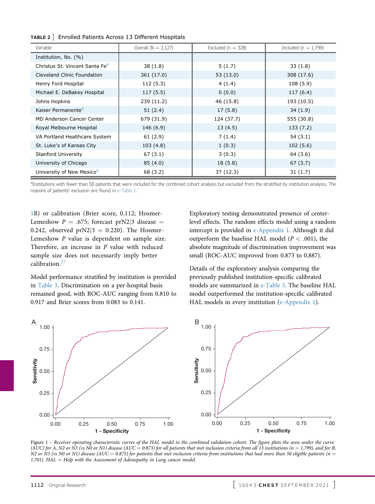<span id="page-6-0"></span>

|  | TABLE 2 ] Enrolled Patients Across 13 Different Hospitals |  |  |
|--|-----------------------------------------------------------|--|--|
|  |                                                           |  |  |

| Variable                                   | Overall $(N = 2,127)$ | Excluded ( $n = 328$ ) | Included ( $n = 1,799$ ) |  |
|--------------------------------------------|-----------------------|------------------------|--------------------------|--|
| Institution, No. (%)                       |                       |                        |                          |  |
| Christus St. Vincent Santa Fe <sup>a</sup> | 38(1.8)               | 5(1.7)                 | 33(1.8)                  |  |
| Cleveland Clinic Foundation                | 361 (17.0)            | 53(13.0)               | 308 (17.6)               |  |
| Henry Ford Hospital                        | 112(5.3)              | 4(1.4)                 | 108(5.9)                 |  |
| Michael E. DeBakey Hospital                | 117(5.5)              | 0(0.0)                 | 117 (6.4)                |  |
| Johns Hopkins                              | 239 (11.2)            | 46 (15.8)              | 193 (10.5)               |  |
| Kaiser Permanente <sup>a</sup>             | 51(2.4)               | 17(5.8)                | 34(1.9)                  |  |
| <b>MD Anderson Cancer Center</b>           | 679 (31.9)            | 124 (37.7)             | 555 (30.8)               |  |
| Royal Melbourne Hospital                   | 146 (6.9)             | 13(4.5)                | 133 (7.2)                |  |
| VA Portland Healthcare System              | 61(2.9)               | 7(1.4)                 | 54(3.1)                  |  |
| St. Luke's of Kansas City                  | 103(4.8)              | 1(0.3)                 | 102(5.6)                 |  |
| Stanford University                        | 67(3.1)               | 3(0.3)                 | 64 (3.6)                 |  |
| University of Chicago                      | 85(4.0)               | 18(5.8)                | 67(3.7)                  |  |
| University of New Mexico <sup>a</sup>      | 68 (3.2)              | 37(12.3)               | 31(1.7)                  |  |

<span id="page-6-2"></span><sup>a</sup>Institutions with fewer than 50 patients that were included for the combined cohort analysis but excluded from the stratified by institution analysis. The reasons of patients' exclusion are found in [e-Table 1](#page-3-0).

[1B](#page-6-1)) or calibration (Brier score, 0.112; Hosmer-Lemeshow  $P = .675$ ; forecast prN2|3 disease  $=$ 0.242, observed  $prN2/3 = 0.220$ ). The Hosmer-Lemeshow P value is dependent on sample size. Therefore, an increase in P value with reduced sample size does not necessarily imply better calibration.<sup>[27](#page-14-9)</sup>

Model performance stratified by institution is provided in [Table 3](#page-7-1). Discrimination on a per-hospital basis remained good, with ROC-AUC ranging from 0.810 to 0.917 and Brier scores from 0.083 to 0.141.

Exploratory testing demonstrated presence of centerlevel effects. The random effects model using a random intercept is provided in [e-Appendix 1](#page-3-0). Although it did outperform the baseline HAL model ( $P < .001$ ), the absolute magnitude of discrimination improvement was small (ROC-AUC improved from 0.873 to 0.887).

Details of the exploratory analysis comparing the previously published institution-specific calibrated models are summarized in [e-Table 5](#page-3-0). The baseline HAL model outperformed the institution-specific calibrated HAL models in every institution ([e-Appendix 1\)](#page-3-0).

<span id="page-6-1"></span>

Figure 1 – Receiver operating characteristic curves of the HAL model in the combined validation cohort. The figure plots the area under the curve (AUC) for A, N2 or N3 (vs N0 or N1) disease (AUC = 0.873) for all patients that met inclusion criteria from all 13 institutions (n = 1,799), and for B, N2 or N3 (vs N0 or N1) disease (AUC = 0.875) for patients that met inclusion criteria from institutions that had more than 50 eligible patients (n = 1,701).  $HAL = Help$  with the Assessment of Adenopathy in Lung cancer model.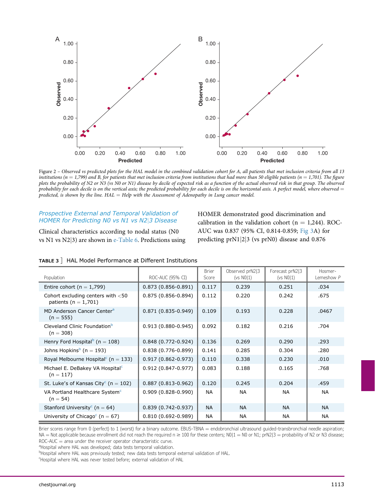<span id="page-7-0"></span>

Figure 2 – Observed vs predicted plots for the HAL model in the combined validation cohort for A, all patients that met inclusion criteria from all 13 institutions ( $n = 1,799$ ) and B, for patients that met inclusion criteria from institutions that had more than 50 eligible patients ( $n = 1,701$ ). The figure plots the probability of N2 or N3 (vs N0 or N1) disease by decile of expected risk as a function of the actual observed risk in that group. The observed probability for each decile is on the vertical axis; the predicted probability for each decile is on the horizontal axis. A perfect model, where observed  $=$ predicted, is shown by the line.  $HAL = Help$  with the Assessment of Adenopathy in Lung cancer model.

#### Prospective External and Temporal Validation of HOMER for Predicting N0 vs N1 vs N2|3 Disease

Clinical characteristics according to nodal status (N0 vs N1 vs  $N2|3$ ) are shown in [e-Table 6.](#page-3-0) Predictions using HOMER demonstrated good discrimination and calibration in the validation cohort ( $n = 1,244$ ). ROC-AUC was 0.837 (95% CI, 0.814-0.859; [Fig 3A](#page-8-0)) for predicting prN1|2|3 (vs prN0) disease and 0.876

| Population                                                       | ROC-AUC (95% CI)       | <b>Brier</b><br>Score | Observed prN2 3<br>(vs N0 1) | Forecast prN2 3<br>( $vs$ $N0 1$ ) | Hosmer-<br>Lemeshow $P$ |
|------------------------------------------------------------------|------------------------|-----------------------|------------------------------|------------------------------------|-------------------------|
| Entire cohort ( $n = 1,799$ )                                    | $0.873(0.856 - 0.891)$ | 0.117                 | 0.239                        | 0.251                              | .034                    |
| Cohort excluding centers with $<$ 50<br>patients ( $n = 1,701$ ) | $0.875(0.856 - 0.894)$ | 0.112                 | 0.220                        | 0.242                              | .675                    |
| MD Anderson Cancer Center <sup>a</sup><br>$(n = 555)$            | $0.871(0.835 - 0.949)$ | 0.109                 | 0.193                        | 0.228                              | .0467                   |
| Cleveland Clinic Foundation <sup>b</sup><br>$(n = 308)$          | $0.913(0.880 - 0.945)$ | 0.092                 | 0.182                        | 0.216                              | .704                    |
| Henry Ford Hospital <sup>b</sup> (n = 108)                       | $0.848(0.772 - 0.924)$ | 0.136                 | 0.269                        | 0.290                              | .293                    |
| Johns Hopkins <sup>b</sup> (n = 193)                             | $0.838(0.776-0.899)$   | 0.141                 | 0.285                        | 0.304                              | .280                    |
| Royal Melbourne Hospital <sup>c</sup> (n = 133)                  | $0.917(0.862 - 0.973)$ | 0.110                 | 0.338                        | 0.230                              | .010                    |
| Michael E. DeBakey VA Hospital <sup>c</sup><br>$(n = 117)$       | $0.912(0.847 - 0.977)$ | 0.083                 | 0.188                        | 0.165                              | .768                    |
| St. Luke's of Kansas City <sup>c</sup> (n = 102)                 | $0.887(0.813 - 0.962)$ | 0.120                 | 0.245                        | 0.204                              | .459                    |
| VA Portland Healthcare System <sup>c</sup><br>$(n = 54)$         | $0.909(0.828 - 0.990)$ | <b>NA</b>             | <b>NA</b>                    | <b>NA</b>                          | <b>NA</b>               |
| Stanford University <sup>c</sup> (n = 64)                        | $0.839(0.742 - 0.937)$ | <b>NA</b>             | <b>NA</b>                    | <b>NA</b>                          | <b>NA</b>               |
| University of Chicago <sup>c</sup> (n = 67)                      | $0.810(0.692 - 0.989)$ | <b>NA</b>             | <b>NA</b>                    | <b>NA</b>                          | <b>NA</b>               |

<span id="page-7-1"></span>

|  | TABLE 3   HAL Model Performance at Different Institutions |  |
|--|-----------------------------------------------------------|--|
|  |                                                           |  |

Brier scores range from 0 (perfect) to 1 (worst) for a binary outcome. EBUS-TBNA = endobronchial ultrasound guided-transbronchial needle aspiration;  $NA = Not$  applicable because enrollment did not reach the required  $n \ge 100$  for these centers;  $N0|1 = N0$  or  $N1$ ; prN2|3 = probability of N2 or N3 disease;  $ROC-AUC = area$  under the receiver operator characteristic curve.

<span id="page-7-2"></span><sup>a</sup>Hospital where HAL was developed; data tests temporal validation.

<span id="page-7-3"></span><sup>b</sup>Hospital where HAL was previously tested; new data tests temporal external validation of HAL.

<span id="page-7-4"></span><sup>c</sup>Hospital where HAL was never tested before; external validation of HAL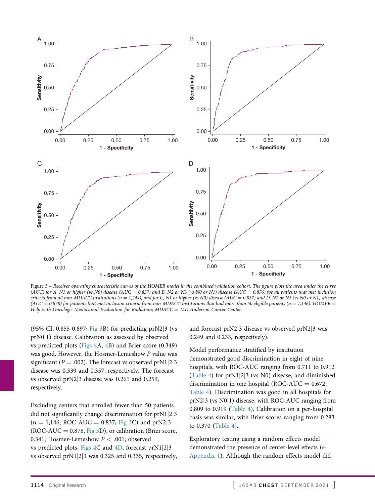<span id="page-8-0"></span>

Figure 3 – Receiver operating characteristic curves of the HOMER model in the combined validation cohort. The figure plots the area under the curve (AUC) for A, N1 or higher (vs N0) disease (AUC = 0.837) and B, N2 or N3 (vs N0 or N1) disease (AUC = 0.876) for all patients that met inclusion criteria from all non-MDACC institutions ( $n = 1,244$ ), and for C, N1 or higher (vs N0) disease (AUC = 0.837) and D, N2 or N3 (vs N0 or N1) disease  $(AUC = 0.878)$  for patients that met inclusion criteria from non-MDACC institutions that had more than 50 eligible patients (n = 1,146). HOMER = Help with Oncologic Mediastinal Evaluation for Radiation;  $MDACC = MD$  Anderson Cancer Center.

(95% CI, 0.855-0.897; [Fig 3B](#page-8-0)) for predicting prN2[j](#page-8-0)3 (vs prN0<sup>[1]</sup> disease. Calibration as assessed by observed vs predicted plots [\(Figs 4](#page-9-0)A, [4](#page-9-0)B) and Brier score (0.349) was good. However, the Hosmer-Lemeshow P value was significant ( $P = .002$ ). The forecast vs observed prN1|2|3 disease was 0.339 and 0.357, respectively. The forecast vs observed prN2[j](#page-9-0)3 disease was 0.261 and 0.259, respectively.

Excluding centers that enrolled fewer than 50 patients did not significantly change discrimination for  $prN1|2|3$  $(n = 1,146; ROC-AUC = 0.837; Fig 3C)$  $(n = 1,146; ROC-AUC = 0.837; Fig 3C)$  $(n = 1,146; ROC-AUC = 0.837; Fig 3C)$  and prN2|3  $(ROC-AUC = 0.878, Fig 3D)$  $(ROC-AUC = 0.878, Fig 3D)$  $(ROC-AUC = 0.878, Fig 3D)$ , or calibration (Brier score, 0.341; Hosmer-Lemeshow  $P < .001$ ; observed vs predicted plots, [Figs 4C](#page-9-0) and [4D](#page-9-0), forecast  $prN1|2|3$ vs observed prN1[j](#page-9-0)2[j](#page-9-0)3 was 0.325 and 0.335, respectively,

and forecast  $prN2/3$  disease vs observed  $prN2/3$  was 0.249 and 0.233, respectively).

Model performance stratified by institution demonstrated good discrimination in eight of nine hospitals, with ROC-AUC ranging from 0.711 to 0.912 [\(Table 4\)](#page-10-0) for prN1[j](#page-10-0)2[j](#page-10-0)3 (vs N0) disease, and diminished discrimination in one hospital (ROC-AUC  $= 0.672$ ; [Table 4](#page-10-0)). Discrimination was good in all hospitals for  $prN2|3$  (vs  $N0|1$ ) disease, with ROC-AUC ranging from 0.809 to 0.919 ([Table 4](#page-10-0)). Calibration on a per-hospital basis was similar, with Brier scores ranging from 0.283 to 0.370 [\(Table 4\)](#page-10-0).

Exploratory testing using a random effects model demonstrated the presence of center-level effects ([e-](#page-3-0)[Appendix 1](#page-3-0)). Although the random effects model did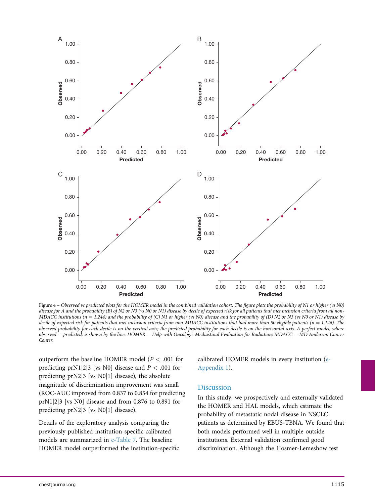<span id="page-9-0"></span>

Figure 4 – Observed vs predicted plots for the HOMER model in the combined validation cohort. The figure plots the probability of N1 or higher (vs N0) disease for A and the probability (B) of N2 or N3 (vs N0 or N1) disease by decile of expected risk for all patients that met inclusion criteria from all non-MDACC institutions  $(n = 1,244)$  and the probability of (C) N1 or higher (vs N0) disease and the probability of (D) N2 or N3 (vs N0 or N1) disease by decile of expected risk for patients that met inclusion criteria from non-MDACC institutions that had more than 50 eligible patients (n = 1,146). The observed probability for each decile is on the vertical axis; the predicted probability for each decile is on the horizontal axis. A perfect model, where observed  $=$  predicted, is shown by the line. HOMER  $=$  Help with Oncologic Mediastinal Evaluation for Radiation; MDACC  $=$  MD Anderson Cancer Center.

outperform the baseline HOMER model ( $P < .001$  for predicting prN1|2|3 [vs N0] disease and  $P < .001$  for predicting  $prN2/3$  [vs N0|1] disease), the absolute magnitude of discrimination improvement was small (ROC-AUC improved from 0.837 to 0.854 for predicting prN1|2|3 [vs N0] disease and from  $0.876$  to  $0.891$  for predicting  $prN2|3$  [vs  $N0|1]$  disease).

Details of the exploratory analysis comparing the previously published institution-specific calibrated models are summarized in [e-Table 7.](#page-3-0) The baseline HOMER model outperformed the institution-specific calibrated HOMER models in every institution ([e-](#page-3-0)[Appendix 1](#page-3-0)).

### **Discussion**

In this study, we prospectively and externally validated the HOMER and HAL models, which estimate the probability of metastatic nodal disease in NSCLC patients as determined by EBUS-TBNA. We found that both models performed well in multiple outside institutions. External validation confirmed good discrimination. Although the Hosmer-Lemeshow test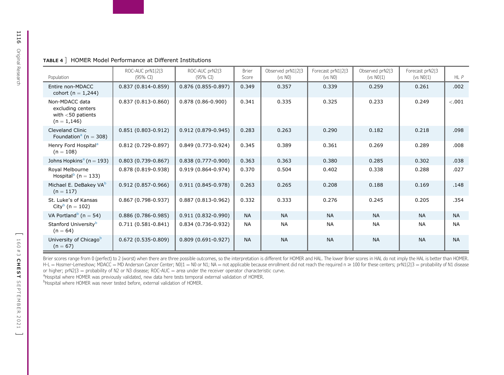<span id="page-10-0"></span>

| TABLE 4   HOMER Model Performance at Different Institutions |
|-------------------------------------------------------------|
|-------------------------------------------------------------|

| Population                                                                    | ROC-AUC prN1 2 3<br>(95% CI) | ROC-AUC prN2 3<br>(95% CI) | <b>Brier</b><br>Score | Observed prN1 2 3<br>(vs N0) | Forecast prN1 2 3<br>(vs N0) | Observed prN2 3<br>( $vs$ $N0 1$ ) | Forecast prN2 3<br>( $vs N0 1$ ) | $HL$ $P$  |
|-------------------------------------------------------------------------------|------------------------------|----------------------------|-----------------------|------------------------------|------------------------------|------------------------------------|----------------------------------|-----------|
| Entire non-MDACC<br>cohort ( $n = 1,244$ )                                    | $0.837(0.814 - 0.859)$       | $0.876(0.855 - 0.897)$     | 0.349                 | 0.357                        | 0.339                        | 0.259                              | 0.261                            | .002      |
| Non-MDACC data<br>excluding centers<br>with $<$ 50 patients<br>$(n = 1, 146)$ | $0.837(0.813 - 0.860)$       | $0.878(0.86 - 0.900)$      | 0.341                 | 0.335                        | 0.325                        | 0.233                              | 0.249                            | $-.001$   |
| <b>Cleveland Clinic</b><br>Foundation <sup>a</sup> (n = 308)                  | $0.851(0.803 - 0.912)$       | $0.912(0.879 - 0.945)$     | 0.283                 | 0.263                        | 0.290                        | 0.182                              | 0.218                            | .098      |
| Henry Ford Hospital <sup>a</sup><br>$(n = 108)$                               | $0.812(0.729 - 0.897)$       | $0.849(0.773 - 0.924)$     | 0.345                 | 0.389                        | 0.361                        | 0.269                              | 0.289                            | .008      |
| Johns Hopkins <sup>a</sup> (n = 193)                                          | $0.803(0.739 - 0.867)$       | $0.838(0.777-0.900)$       | 0.363                 | 0.363                        | 0.380                        | 0.285                              | 0.302                            | .038      |
| Royal Melbourne<br>Hospital $b$ (n = 133)                                     | $0.878(0.819 - 0.938)$       | $0.919(0.864 - 0.974)$     | 0.370                 | 0.504                        | 0.402                        | 0.338                              | 0.288                            | .027      |
| Michael E. DeBakey VA <sup>b</sup><br>$(n = 117)$                             | $0.912(0.857 - 0.966)$       | $0.911(0.845 - 0.978)$     | 0.263                 | 0.265                        | 0.208                        | 0.188                              | 0.169                            | .148      |
| St. Luke's of Kansas<br>City <sup>b</sup> (n = 102)                           | $0.867(0.798-0.937)$         | $0.887(0.813 - 0.962)$     | 0.332                 | 0.333                        | 0.276                        | 0.245                              | 0.205                            | .354      |
| VA Portland <sup>b</sup> (n = 54)                                             | $0.886(0.786 - 0.985)$       | $0.911(0.832 - 0.990)$     | <b>NA</b>             | <b>NA</b>                    | <b>NA</b>                    | <b>NA</b>                          | <b>NA</b>                        | <b>NA</b> |
| Stanford University <sup>b</sup><br>$(n = 64)$                                | $0.711(0.581 - 0.841)$       | $0.834(0.736-0.932)$       | <b>NA</b>             | <b>NA</b>                    | <b>NA</b>                    | <b>NA</b>                          | <b>NA</b>                        | <b>NA</b> |
| University of Chicago <sup>b</sup><br>$(n = 67)$                              | $0.672(0.535-0.809)$         | $0.809(0.691 - 0.927)$     | <b>NA</b>             | <b>NA</b>                    | <b>NA</b>                    | <b>NA</b>                          | <b>NA</b>                        | <b>NA</b> |

Brier scores range from 0 (perfect) to 2 (worst) when there are three possible outcomes, so the interpretation is different for HOMER and HAL. The lower Brier scores in HAL do not imply the HAL is better than HOMER. H-L = Hosmer-Lemeshow; MDACC = MD Anderson Cancer Center; N0|1 = N0 or N1; NA = not applicable because enrollment did not reach the required n ≥ 100 for these centers; prN1|2|3 = probability of N1 disease or higher;  $prN2|3 = probability of N2 or N3 disease; ROC-AUC = area under the receiver operator characteristic curve.$ 

<span id="page-10-1"></span><sup>a</sup>Hospital where HOMER was previously validated, new data here tests temporal external validation of HOMER.

<span id="page-10-2"></span>bHospital where HOMER was never tested before, external validation of HOMER.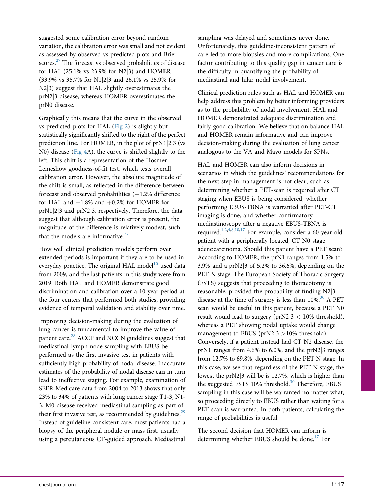suggested some calibration error beyond random variation, the calibration error was small and not evident as assessed by observed vs predicted plots and Brier scores.<sup>27</sup> The forecast vs observed probabilities of disease for HAL (25.1% vs 23.9% for N2[j](#page-14-9)3) and HOMER (33.9% vs 35.7% for N1[j](#page-14-9)2[j](#page-14-9)3 and 26.1% vs 25.9% for N2|3) suggest that HAL slightly overestimates the prN2[j](#page-14-9)3 disease, whereas HOMER overestimates the prN0 disease.

Graphically this means that the curve in the observed vs predicted plots for HAL ([Fig 2](#page-7-0)) is slightly but statistically significantly shifted to the right of the perfect prediction line. For HOMER, in the plot of  $prN1|2|3$  (vs N0) disease [\(Fig 4](#page-9-0)A), the curve is shifted slightly to the left. This shift is a representation of the Hosmer-Lemeshow goodness-of-fit test, which tests overall calibration error. However, the absolute magnitude of the shift is small, as reflected in the difference between forecast and observed probabilities  $(+1.2\%$  difference for HAL and  $-1.8\%$  and  $+0.2\%$  for HOMER for prN1[j](#page-9-0)2[j](#page-9-0)3 and prN2[j](#page-9-0)3, respectively. Therefore, the data suggest that although calibration error is present, the magnitude of the difference is relatively modest, such that the models are informative. $27$ 

How well clinical prediction models perform over extended periods is important if they are to be used in everyday practice. The original HAL model $10$  used data from 2009, and the last patients in this study were from 2019. Both HAL and HOMER demonstrate good discrimination and calibration over a 10-year period at the four centers that performed both studies, providing evidence of temporal validation and stability over time.

Improving decision-making during the evaluation of lung cancer is fundamental to improve the value of patient care.<sup>[28](#page-14-10)</sup> ACCP and NCCN guidelines suggest that mediastinal lymph node sampling with EBUS be performed as the first invasive test in patients with sufficiently high probability of nodal disease. Inaccurate estimates of the probability of nodal disease can in turn lead to ineffective staging. For example, examination of SEER-Medicare data from 2004 to 2013 shows that only 23% to 34% of patients with lung cancer stage T1-3, N1- 3, M0 disease received mediastinal sampling as part of their first invasive test, as recommended by guidelines. $2^9$ Instead of guideline-consistent care, most patients had a biopsy of the peripheral nodule or mass first, usually using a percutaneous CT-guided approach. Mediastinal sampling was delayed and sometimes never done. Unfortunately, this guideline-inconsistent pattern of care led to more biopsies and more complications. One factor contributing to this quality gap in cancer care is the difficulty in quantifying the probability of mediastinal and hilar nodal involvement.

Clinical prediction rules such as HAL and HOMER can help address this problem by better informing providers as to the probability of nodal involvement. HAL and HOMER demonstrated adequate discrimination and fairly good calibration. We believe that on balance HAL and HOMER remain informative and can improve decision-making during the evaluation of lung cancer analogous to the VA and Mayo models for SPNs.

HAL and HOMER can also inform decisions in scenarios in which the guidelines' recommendations for the next step in management is not clear, such as determining whether a PET-scan is required after CT staging when EBUS is being considered, whether performing EBUS-TBNA is warranted after PET-CT imaging is done, and whether confirmatory mediastinoscopy after a negative EBUS-TBNA is required.[1](#page-13-0),[2,](#page-13-1)[4](#page-13-3)[,8,](#page-13-5)[10](#page-13-8)[,17](#page-14-0) For example, consider a 60-year-old patient with a peripherally located, CT N0 stage adenocarcinoma. Should this patient have a PET scan? According to HOMER, the prN1 ranges from 1.5% to 3.9% and a prN2 $\mid$ 3 of 5.2% to 36.6%, depending on the PET N stage. The European Society of Thoracic Surgery (ESTS) suggests that proceeding to thoracotomy is reasonable, provided the probability of finding N2[j](#page-14-0)<sup>3</sup> disease at the time of surgery is less than  $10\%$ .<sup>[30](#page-14-12)</sup> A PET scan would be useful in this patient, because a PET N0 result would lead to surgery ( $prN2/3 < 10\%$  threshold), whereas a PET showing nodal uptake would change management to EBUS (prN2 $|3 > 10\%$  threshold). Conversely, if a patient instead had CT N2 disease, the prN1 ranges from 4.6% to 6.0%, and the prN2[j](#page-14-12)3 ranges from 12.7% to 69.8%, depending on the PET N stage. In this case, we see that regardless of the PET N stage, the lowest the prN2[j](#page-14-12)3 will be is 12.7%, which is higher than the suggested ESTS 10% threshold.<sup>[30](#page-14-12)</sup> Therefore, EBUS sampling in this case will be warranted no matter what, so proceeding directly to EBUS rather than waiting for a PET scan is warranted. In both patients, calculating the range of probabilities is useful.

The second decision that HOMER can inform is determining whether EBUS should be done.<sup>[17](#page-14-0)</sup> For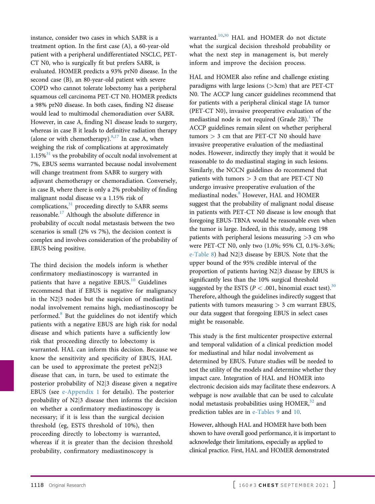instance, consider two cases in which SABR is a treatment option. In the first case (A), a 60-year-old patient with a peripheral undifferentiated NSCLC, PET-CT N0, who is surgically fit but prefers SABR, is evaluated. HOMER predicts a 93% prN0 disease. In the second case (B), an 80-year-old patient with severe COPD who cannot tolerate lobectomy has a peripheral squamous cell carcinoma PET-CT N0. HOMER predicts a 98% prN0 disease. In both cases, finding N2 disease would lead to multimodal chemoradiation over SABR. However, in case A, finding N1 disease leads to surgery, whereas in case B it leads to definitive radiation therapy (alone or with chemotherapy). $8,17$  $8,17$  $8,17$  In case A, when weighing the risk of complications at approximately  $1.15\%$ <sup>[31](#page-14-13)</sup> vs the probability of occult nodal involvement at 7%, EBUS seems warranted because nodal involvement will change treatment from SABR to surgery with adjuvant chemotherapy or chemoradiation. Conversely, in case B, where there is only a 2% probability of finding malignant nodal disease vs a 1.15% risk of complications, $31$  proceeding directly to SABR seems reasonable.[17](#page-14-0) Although the absolute difference in probability of occult nodal metastasis between the two scenarios is small (2% vs 7%), the decision context is complex and involves consideration of the probability of EBUS being positive.

The third decision the models inform is whether confirmatory mediastinoscopy is warranted in patients that have a negative  $EBUS<sup>10</sup>$  $EBUS<sup>10</sup>$  $EBUS<sup>10</sup>$  Guidelines recommend that if EBUS is negative for malignancy in the  $N2/3$  nodes but the suspicion of mediastinal nodal involvement remains high, mediastinoscopy be performed.[8](#page-13-5) But the guidelines do not identify which patients with a negative EBUS are high risk for nodal disease and which patients have a sufficiently low risk that proceeding directly to lobectomy is warranted. HAL can inform this decision. Because we know the sensitivity and specificity of EBUS, HAL can be used to approximate the pretest prN2[j](#page-13-5)3 disease that can, in turn, be used to estimate the posterior probability of N2[j](#page-13-5)3 disease given a negative EBUS (see [e-Appendix 1](#page-3-0) for details). The posterior probability of  $N2/3$  disease then informs the decision on whether a confirmatory mediastinoscopy is necessary; if it is less than the surgical decision threshold (eg, ESTS threshold of 10%), then proceeding directly to lobectomy is warranted, whereas if it is greater than the decision threshold probability, confirmatory mediastinoscopy is

warranted.<sup>[10](#page-13-8),[30](#page-14-12)</sup> HAL and HOMER do not dictate what the surgical decision threshold probability or what the next step in management is, but merely inform and improve the decision process.

HAL and HOMER also refine and challenge existing paradigms with large lesions  $(>3cm)$  that are PET-CT N0. The ACCP lung cancer guidelines recommend that for patients with a peripheral clinical stage IA tumor (PET-CT N0), invasive preoperative evaluation of the mediastinal node is not required (Grade  $2B$ ).<sup>[1](#page-13-0)</sup> The ACCP guidelines remain silent on whether peripheral tumors > 3 cm that are PET-CT N0 should have invasive preoperative evaluation of the mediastinal nodes. However, indirectly they imply that it would be reasonable to do mediastinal staging in such lesions. Similarly, the NCCN guidelines do recommend that patients with tumors  $> 3$  cm that are PET-CT N0 undergo invasive preoperative evaluation of the mediastinal nodes.<sup>[8](#page-13-5)</sup> However, HAL and HOMER suggest that the probability of malignant nodal disease in patients with PET-CT N0 disease is low enough that foregoing EBUS-TBNA would be reasonable even when the tumor is large. Indeed, in this study, among 198 patients with peripheral lesions measuring  $>3$  cm who were PET-CT N0, only two (1.0%; 95% CI, 0.1%-3.6%; [e-Table 8\)](#page-3-0) had N2[j](#page-3-0)3 disease by EBUS. Note that the upper bound of the 95% credible interval of the proportion of patients having N2[j](#page-3-0)3 disease by EBUS is significantly less than the 10% surgical threshold suggested by the ESTS ( $P < .001$ , binomial exact test).<sup>30</sup> Therefore, although the guidelines indirectly suggest that patients with tumors measuring  $> 3$  cm warrant EBUS, our data suggest that foregoing EBUS in select cases might be reasonable.

This study is the first multicenter prospective external and temporal validation of a clinical prediction model for mediastinal and hilar nodal involvement as determined by EBUS. Future studies will be needed to test the utility of the models and determine whether they impact care. Integration of HAL and HOMER into electronic decision aids may facilitate these endeavors. A webpage is now available that can be used to calculate nodal metastasis probabilities using  $HOMER<sub>32</sub>$  $HOMER<sub>32</sub>$  $HOMER<sub>32</sub>$  and prediction tables are in [e-Tables 9](#page-3-0) and [10.](#page-3-0)

However, although HAL and HOMER have both been shown to have overall good performance, it is important to acknowledge their limitations, especially as applied to clinical practice. First, HAL and HOMER demonstrated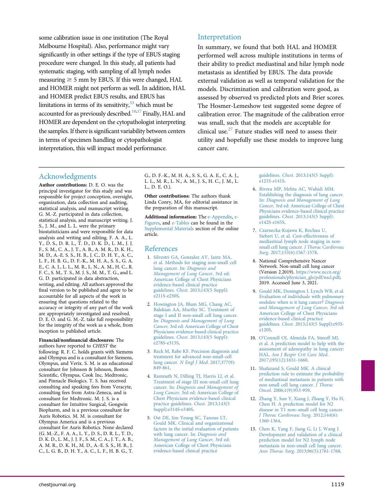some calibration issue in one institution (The Royal Melbourne Hospital). Also, performance might vary significantly in other settings if the type of EBUS staging procedure were changed. In this study, all patients had systematic staging, with sampling of all lymph nodes measuring  $\geq$  5 mm by EBUS. If this were changed, HAL and HOMER might not perform as well. In addition, HAL and HOMER predict EBUS results, and EBUS has limitations in terms of its sensitivity, $33$  which must be accounted for as previously described.<sup>10,[17](#page-14-0)</sup> Finally, HAL and HOMER are dependent on the cytopathologist interpreting the samples. If there is significant variability between centers in terms of specimen handling or cytopathologist interpretation, this will impact model performance.

## Interpretation

In summary, we found that both HAL and HOMER performed well across multiple institutions in terms of their ability to predict mediastinal and hilar lymph node metastasis as identified by EBUS. The data provide external validation as well as temporal validation for the models. Discrimination and calibration were good, as assessed by observed vs predicted plots and Brier scores. The Hosmer-Lemeshow test suggested some degree of calibration error. The magnitude of the calibration error was small, such that the models are acceptable for clinical use.[27](#page-14-9) Future studies will need to assess their utility and hopefully use these models to improve lung cancer care.

## Acknowledgments

Author contributions: D. E. O. was the principal investigator for this study and was responsible for project conception, oversight, organization, data collection and auditing, statistical analysis, and manuscript writing. G. M.-Z. participated in data collection, statistical analysis, and manuscript writing. J. S., J. M., and L. L. were the primary biostatisticians and were responsible for data analysis and writing and editing. F. A. A., L. Y., D. S., D. R. L., T. D., D. K. D., L. M., J. J. F., S. M., C. A., J. T., A. B., A. M. R., D. K. H., M. D., A.-E. S. S., H. B., J. C., D. H. Y., A. C., L. F., H. B. G., D. F.-K., M. H. A., S. S., G. A. E., C. A. J., L. L., M. R., L. N., A. M., H. C., R. F. C., S. M., T. S., M. J. S., M. M., T. G., and L. G. D. participated in data abstraction, writing, and editing. All authors approved the final version to be published and agree to be accountable for all aspects of the work in ensuring that questions related to the accuracy or integrity of any part of the work are appropriately investigated and resolved. D. E. O. and G. M.-Z. take full responsibility for the integrity of the work as a whole, from inception to published article.

#### Financial/nonfinancial disclosures: The

authors have reported to CHEST the following: R. F. C. holds grants with Siemens and Olympus and is a consultant for Siemens, Olympus, and Verix. S. M. is an educational consultant for Johnson & Johnson, Boston Scientific, Olympus, Cook Inc, Medtronic, and Pinnacle Biologics. T. S. has received consulting and speaking fees from Veracyte, consulting fees from Astra-Zeneca, and is consultant for Medtronic. M. J. S. is a consultant for Intuitive Surgical, Gongwin Biopharm, and is a previous consultant for Auris Robotics. M. M. is consultant for Olympus America and is a previous consultant for Auris Robotics. None declared (G. M.-Z., F. A. A., L. Y., D. S., D. R. L., T. D., D. K. D., L. M., J. J. F., S. M., C. A., J. T., A. B., A. M. R., D. K. H., M. D., A.-E. S. S., H. B., J. C., L. G. B., D. H. Y., A. C., L. F., H. B. G., T. G., D. F.-K., M. H. A., S. S., G. A. E., C. A. J., L. L., M. R., L. N., A. M., J. S., H. C., J. M., L. L., D. E. O.).

Other contributions: The authors thank Linda Conry, MA, for editorial assistance in the preparation of this manuscript.

Additional information: The [e-Appendix,](#page-3-0) [e-](#page-3-0)[Figures](#page-3-0), and [e-Tables](#page-3-0) can be found in the [Supplemental Materials](#page-3-0) section of the online article.

## References

- <span id="page-13-0"></span>1. [Silvestri GA, Gonzalez AV, Jantz MA,](http://refhub.elsevier.com/S0012-3692(21)00856-4/sref1) [et al. Methods for staging non-small cell](http://refhub.elsevier.com/S0012-3692(21)00856-4/sref1) [lung cancer. In:](http://refhub.elsevier.com/S0012-3692(21)00856-4/sref1) Diagnosis and [Management of Lung Cancer,](http://refhub.elsevier.com/S0012-3692(21)00856-4/sref1) 3rd ed: [American College of Chest Physicians](http://refhub.elsevier.com/S0012-3692(21)00856-4/sref1) [evidence-based clinical practice](http://refhub.elsevier.com/S0012-3692(21)00856-4/sref1) guidelines. Chest[. 2013;143\(5 Suppl\):](http://refhub.elsevier.com/S0012-3692(21)00856-4/sref1) [e211S-e250S.](http://refhub.elsevier.com/S0012-3692(21)00856-4/sref1)
- <span id="page-13-1"></span>2. [Howington JA, Blum MG, Chang AC,](http://refhub.elsevier.com/S0012-3692(21)00856-4/sref2) [Balekian AA, Murthy SC. Treatment of](http://refhub.elsevier.com/S0012-3692(21)00856-4/sref2) [stage I and II non-small cell lung cancer.](http://refhub.elsevier.com/S0012-3692(21)00856-4/sref2) In: [Diagnosis and Management of Lung](http://refhub.elsevier.com/S0012-3692(21)00856-4/sref2) Cancer, [3rd ed: American College of Chest](http://refhub.elsevier.com/S0012-3692(21)00856-4/sref2) [Physicians evidence-based clinical practice](http://refhub.elsevier.com/S0012-3692(21)00856-4/sref2) guidelines. Chest[. 2013;143\(5 Suppl\):](http://refhub.elsevier.com/S0012-3692(21)00856-4/sref2) [e278S-e313S.](http://refhub.elsevier.com/S0012-3692(21)00856-4/sref2)
- <span id="page-13-2"></span>3. [Reck M, Rabe KF. Precision diagnosis and](http://refhub.elsevier.com/S0012-3692(21)00856-4/sref3) [treatment for advanced non-small-cell](http://refhub.elsevier.com/S0012-3692(21)00856-4/sref3) lung cancer. [N Engl J Med](http://refhub.elsevier.com/S0012-3692(21)00856-4/sref3). 2017;377(9): [849-861.](http://refhub.elsevier.com/S0012-3692(21)00856-4/sref3)
- <span id="page-13-3"></span>4. [Ramnath N, Dilling TJ, Harris LJ, et al.](http://refhub.elsevier.com/S0012-3692(21)00856-4/sref4) [Treatment of stage III non-small cell lung](http://refhub.elsevier.com/S0012-3692(21)00856-4/sref4) cancer. In: [Diagnosis and Management of](http://refhub.elsevier.com/S0012-3692(21)00856-4/sref4) Lung Cancer, [3rd ed: American College of](http://refhub.elsevier.com/S0012-3692(21)00856-4/sref4) [Chest Physicians evidence-based clinical](http://refhub.elsevier.com/S0012-3692(21)00856-4/sref4) [practice guidelines.](http://refhub.elsevier.com/S0012-3692(21)00856-4/sref4) Chest. 2013;143(5 [Suppl\):e314S-e340S.](http://refhub.elsevier.com/S0012-3692(21)00856-4/sref4)
- <span id="page-13-4"></span>5. [Ost DE, Jim Yeung SC, Tanoue LT,](http://refhub.elsevier.com/S0012-3692(21)00856-4/sref5) [Gould MK. Clinical and organizational](http://refhub.elsevier.com/S0012-3692(21)00856-4/sref5) [factors in the initial evaluation of patients](http://refhub.elsevier.com/S0012-3692(21)00856-4/sref5) [with lung cancer. In:](http://refhub.elsevier.com/S0012-3692(21)00856-4/sref5) Diagnosis and [Management of Lung Cancer,](http://refhub.elsevier.com/S0012-3692(21)00856-4/sref5) 3rd ed: [American College of Chest Physicians](http://refhub.elsevier.com/S0012-3692(21)00856-4/sref5) [evidence-based clinical practice](http://refhub.elsevier.com/S0012-3692(21)00856-4/sref5)

guidelines. Chest[. 2013;143\(5 Suppl\):](http://refhub.elsevier.com/S0012-3692(21)00856-4/sref5) [e121S-e141S](http://refhub.elsevier.com/S0012-3692(21)00856-4/sref5).

- <span id="page-13-6"></span>6. [Rivera MP, Mehta AC, Wahidi MM.](http://refhub.elsevier.com/S0012-3692(21)00856-4/sref6) [Establishing the diagnosis of lung cancer.](http://refhub.elsevier.com/S0012-3692(21)00856-4/sref6) In: [Diagnosis and Management of Lung](http://refhub.elsevier.com/S0012-3692(21)00856-4/sref6) Cancer, [3rd ed: American College of Chest](http://refhub.elsevier.com/S0012-3692(21)00856-4/sref6) [Physicians evidence-based clinical practice](http://refhub.elsevier.com/S0012-3692(21)00856-4/sref6) guidelines. Chest[. 2013;143\(5 Suppl\):](http://refhub.elsevier.com/S0012-3692(21)00856-4/sref6) [e142S-e165S](http://refhub.elsevier.com/S0012-3692(21)00856-4/sref6).
- 7. [Czarnecka-Kujawa K, Rochau U,](http://refhub.elsevier.com/S0012-3692(21)00856-4/sref7) [Siebert U, et al. Cost-effectiveness of](http://refhub.elsevier.com/S0012-3692(21)00856-4/sref7) [mediastinal lymph node staging in non](http://refhub.elsevier.com/S0012-3692(21)00856-4/sref7)[small cell lung cancer.](http://refhub.elsevier.com/S0012-3692(21)00856-4/sref7) J Thorac Cardiovasc Surg[. 2017;153\(6\):1567-1578.](http://refhub.elsevier.com/S0012-3692(21)00856-4/sref7)
- <span id="page-13-5"></span>8. National Comprehensive Nancer Network. Non-small cell lung cancer (Version 2.2019). [https://www.nccn.org/](https://www.nccn.org/professionals/physician_gls/pdf/nscl.pdf) [professionals/physician\\_gls/pdf/nscl.pdf;](https://www.nccn.org/professionals/physician_gls/pdf/nscl.pdf) 2019. Accessed June 3, 2021.
- <span id="page-13-7"></span>9. [Gould MK, Donington J, Lynch WR, et al.](http://refhub.elsevier.com/S0012-3692(21)00856-4/sref9) [Evaluation of individuals with pulmonary](http://refhub.elsevier.com/S0012-3692(21)00856-4/sref9) [nodules: when is it lung cancer?](http://refhub.elsevier.com/S0012-3692(21)00856-4/sref9) Diagnosis [and Management of Lung Cancer,](http://refhub.elsevier.com/S0012-3692(21)00856-4/sref9) 3rd ed: [American College of Chest Physicians](http://refhub.elsevier.com/S0012-3692(21)00856-4/sref9) [evidence-based clinical practice](http://refhub.elsevier.com/S0012-3692(21)00856-4/sref9) guidelines. Chest[. 2013;143\(5 Suppl\):e93S](http://refhub.elsevier.com/S0012-3692(21)00856-4/sref9)[e120S](http://refhub.elsevier.com/S0012-3692(21)00856-4/sref9).
- <span id="page-13-8"></span>10. O'[Connell OJ, Almeida FA, Simoff MJ,](http://refhub.elsevier.com/S0012-3692(21)00856-4/sref10) [et al. A prediction model to help with the](http://refhub.elsevier.com/S0012-3692(21)00856-4/sref10) [assessment of adenopathy in lung cancer:](http://refhub.elsevier.com/S0012-3692(21)00856-4/sref10) HAL. [Am J Respir Crit Care Med](http://refhub.elsevier.com/S0012-3692(21)00856-4/sref10). [2017;195\(12\):1651-1660.](http://refhub.elsevier.com/S0012-3692(21)00856-4/sref10)
- 11. [Shafazand S, Gould MK. A clinical](http://refhub.elsevier.com/S0012-3692(21)00856-4/sref11) [prediction rule to estimate the probability](http://refhub.elsevier.com/S0012-3692(21)00856-4/sref11) [of mediastinal metastasis in patients with](http://refhub.elsevier.com/S0012-3692(21)00856-4/sref11) [non-small cell lung cancer.](http://refhub.elsevier.com/S0012-3692(21)00856-4/sref11)  $\hat{J}$  Thorac Oncol[. 2006;1\(9\):953-959](http://refhub.elsevier.com/S0012-3692(21)00856-4/sref11).
- 12. [Zhang Y, Sun Y, Xiang J, Zhang Y, Hu H,](http://refhub.elsevier.com/S0012-3692(21)00856-4/sref12) [Chen H. A prediction model for N2](http://refhub.elsevier.com/S0012-3692(21)00856-4/sref12) disease in T1 non–[small cell lung cancer.](http://refhub.elsevier.com/S0012-3692(21)00856-4/sref12) [J Thorac Cardiovasc Surg](http://refhub.elsevier.com/S0012-3692(21)00856-4/sref12). 2012;144(6): [1360-1364](http://refhub.elsevier.com/S0012-3692(21)00856-4/sref12).
- 13. [Chen K, Yang F, Jiang G, Li J, Wang J.](http://refhub.elsevier.com/S0012-3692(21)00856-4/sref13) [Development and validation of a clinical](http://refhub.elsevier.com/S0012-3692(21)00856-4/sref13) [prediction model for N2 lymph node](http://refhub.elsevier.com/S0012-3692(21)00856-4/sref13) [metastasis in non-small cell lung cancer.](http://refhub.elsevier.com/S0012-3692(21)00856-4/sref13) Ann Thorac Surg[. 2013;96\(5\):1761-1768](http://refhub.elsevier.com/S0012-3692(21)00856-4/sref13).